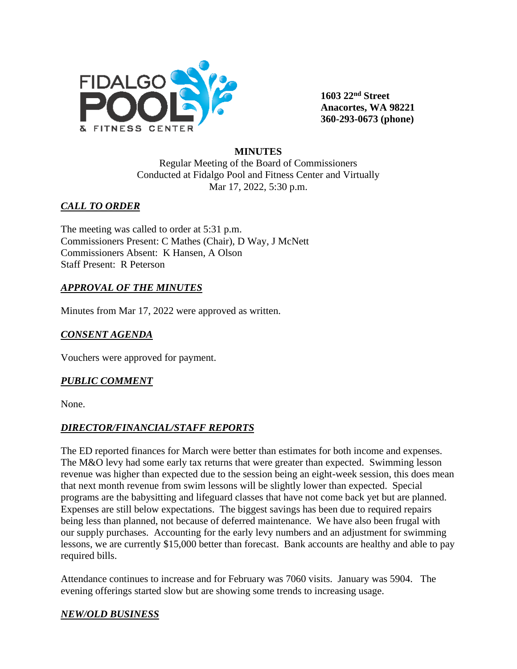

**1603 22nd Street Anacortes, WA 98221 360-293-0673 (phone)** 

#### **MINUTES**

Regular Meeting of the Board of Commissioners Conducted at Fidalgo Pool and Fitness Center and Virtually Mar 17, 2022, 5:30 p.m.

### *CALL TO ORDER*

The meeting was called to order at 5:31 p.m. Commissioners Present: C Mathes (Chair), D Way, J McNett Commissioners Absent: K Hansen, A Olson Staff Present: R Peterson

### *APPROVAL OF THE MINUTES*

Minutes from Mar 17, 2022 were approved as written.

## *CONSENT AGENDA*

Vouchers were approved for payment.

### *PUBLIC COMMENT*

None.

### *DIRECTOR/FINANCIAL/STAFF REPORTS*

The ED reported finances for March were better than estimates for both income and expenses. The M&O levy had some early tax returns that were greater than expected. Swimming lesson revenue was higher than expected due to the session being an eight-week session, this does mean that next month revenue from swim lessons will be slightly lower than expected. Special programs are the babysitting and lifeguard classes that have not come back yet but are planned. Expenses are still below expectations. The biggest savings has been due to required repairs being less than planned, not because of deferred maintenance. We have also been frugal with our supply purchases. Accounting for the early levy numbers and an adjustment for swimming lessons, we are currently \$15,000 better than forecast. Bank accounts are healthy and able to pay required bills.

Attendance continues to increase and for February was 7060 visits. January was 5904. The evening offerings started slow but are showing some trends to increasing usage.

#### *NEW/OLD BUSINESS*